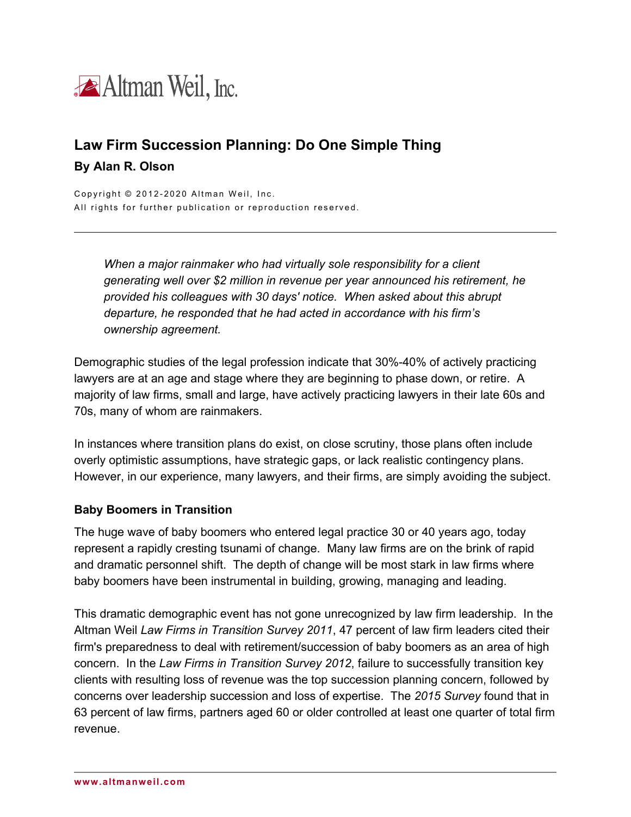

# **Law Firm Succession Planning: Do One Simple Thing By Alan R. Olson**

Copyright © 2012-2020 Altman Weil, Inc. All rights for further publication or reproduction reserved.

> *When a major rainmaker who had virtually sole responsibility for a client generating well over \$2 million in revenue per year announced his retirement, he provided his colleagues with 30 days' notice. When asked about this abrupt departure, he responded that he had acted in accordance with his firm's ownership agreement.*

Demographic studies of the legal profession indicate that 30%-40% of actively practicing lawyers are at an age and stage where they are beginning to phase down, or retire. A majority of law firms, small and large, have actively practicing lawyers in their late 60s and 70s, many of whom are rainmakers.

In instances where transition plans do exist, on close scrutiny, those plans often include overly optimistic assumptions, have strategic gaps, or lack realistic contingency plans. However, in our experience, many lawyers, and their firms, are simply avoiding the subject.

#### **Baby Boomers in Transition**

The huge wave of baby boomers who entered legal practice 30 or 40 years ago, today represent a rapidly cresting tsunami of change. Many law firms are on the brink of rapid and dramatic personnel shift. The depth of change will be most stark in law firms where baby boomers have been instrumental in building, growing, managing and leading.

This dramatic demographic event has not gone unrecognized by law firm leadership. In the Altman Weil *Law Firms in Transition Survey 2011*, 47 percent of law firm leaders cited their firm's preparedness to deal with retirement/succession of baby boomers as an area of high concern. In the *Law Firms in Transition Survey 2012*, failure to successfully transition key clients with resulting loss of revenue was the top succession planning concern, followed by concerns over leadership succession and loss of expertise. The *2015 Survey* found that in 63 percent of law firms, partners aged 60 or older controlled at least one quarter of total firm revenue.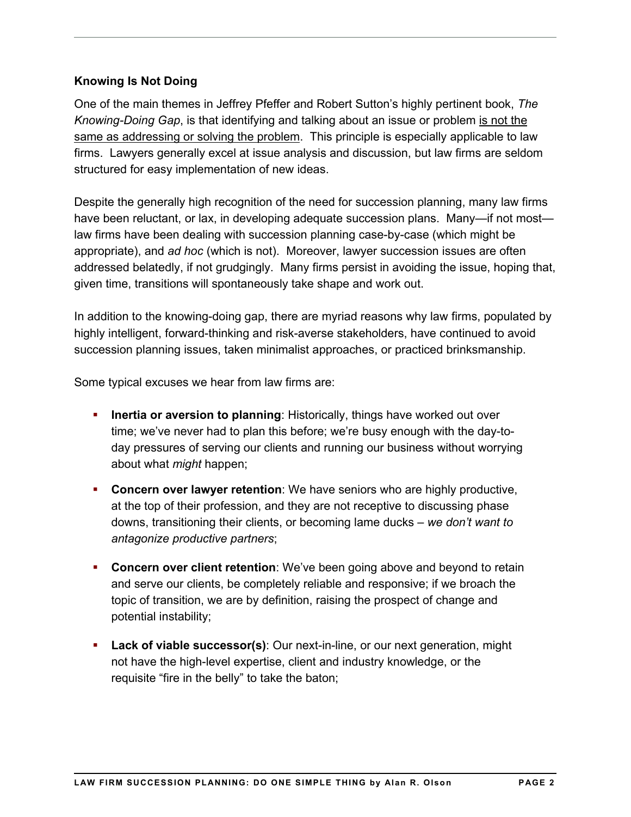## **Knowing Is Not Doing**

One of the main themes in Jeffrey Pfeffer and Robert Sutton's highly pertinent book, *The Knowing-Doing Gap*, is that identifying and talking about an issue or problem is not the same as addressing or solving the problem. This principle is especially applicable to law firms. Lawyers generally excel at issue analysis and discussion, but law firms are seldom structured for easy implementation of new ideas.

Despite the generally high recognition of the need for succession planning, many law firms have been reluctant, or lax, in developing adequate succession plans. Many—if not most law firms have been dealing with succession planning case-by-case (which might be appropriate), and *ad hoc* (which is not). Moreover, lawyer succession issues are often addressed belatedly, if not grudgingly. Many firms persist in avoiding the issue, hoping that, given time, transitions will spontaneously take shape and work out.

In addition to the knowing-doing gap, there are myriad reasons why law firms, populated by highly intelligent, forward-thinking and risk-averse stakeholders, have continued to avoid succession planning issues, taken minimalist approaches, or practiced brinksmanship.

Some typical excuses we hear from law firms are:

- **Inertia or aversion to planning**: Historically, things have worked out over time; we've never had to plan this before; we're busy enough with the day-today pressures of serving our clients and running our business without worrying about what *might* happen;
- **Concern over lawyer retention**: We have seniors who are highly productive, at the top of their profession, and they are not receptive to discussing phase downs, transitioning their clients, or becoming lame ducks – *we don't want to antagonize productive partners*;
- **Concern over client retention**: We've been going above and beyond to retain and serve our clients, be completely reliable and responsive; if we broach the topic of transition, we are by definition, raising the prospect of change and potential instability;
- **Lack of viable successor(s)**: Our next-in-line, or our next generation, might not have the high-level expertise, client and industry knowledge, or the requisite "fire in the belly" to take the baton;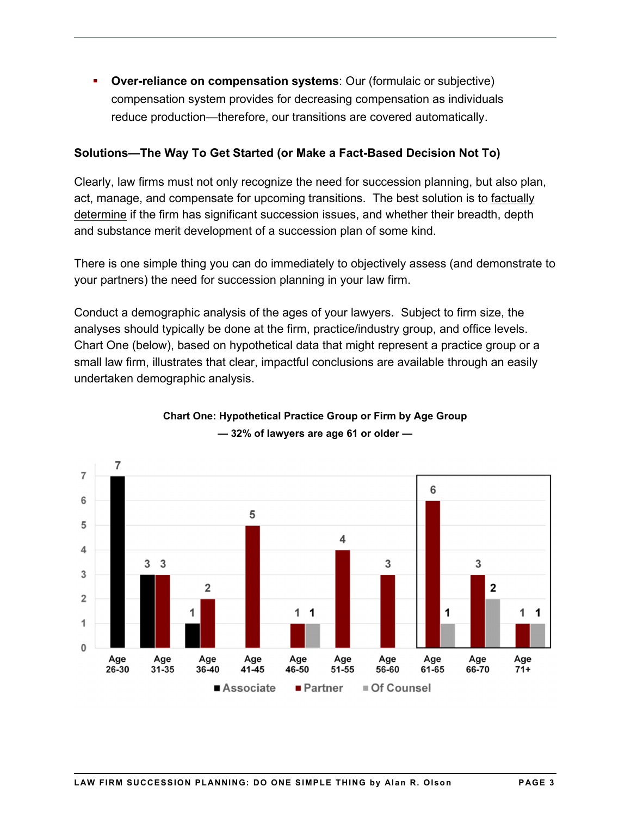**Over-reliance on compensation systems**: Our (formulaic or subjective) compensation system provides for decreasing compensation as individuals reduce production—therefore, our transitions are covered automatically.

## **Solutions—The Way To Get Started (or Make a Fact-Based Decision Not To)**

Clearly, law firms must not only recognize the need for succession planning, but also plan, act, manage, and compensate for upcoming transitions. The best solution is to factually determine if the firm has significant succession issues, and whether their breadth, depth and substance merit development of a succession plan of some kind.

There is one simple thing you can do immediately to objectively assess (and demonstrate to your partners) the need for succession planning in your law firm.

Conduct a demographic analysis of the ages of your lawyers. Subject to firm size, the analyses should typically be done at the firm, practice/industry group, and office levels. Chart One (below), based on hypothetical data that might represent a practice group or a small law firm, illustrates that clear, impactful conclusions are available through an easily undertaken demographic analysis.



# **Chart One: Hypothetical Practice Group or Firm by Age Group — 32% of lawyers are age 61 or older —**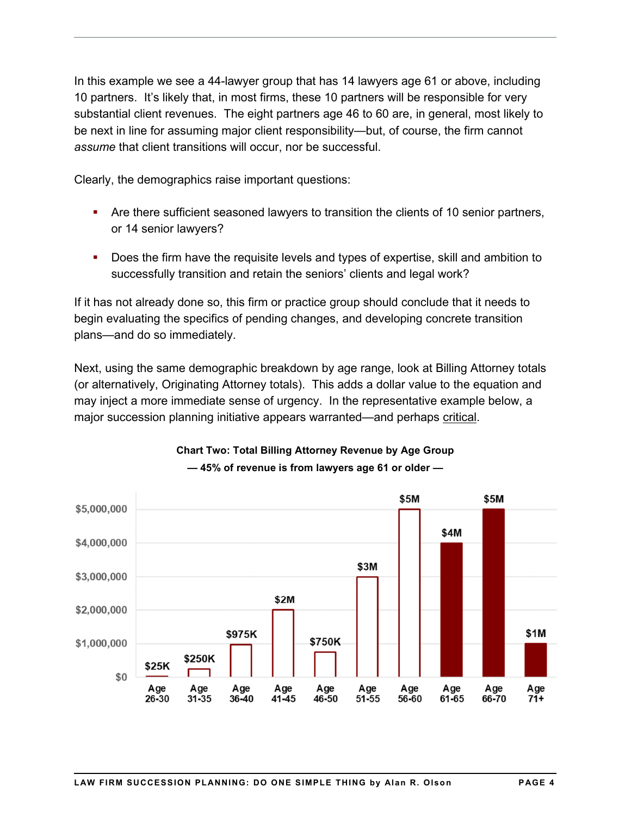In this example we see a 44-lawyer group that has 14 lawyers age 61 or above, including 10 partners. It's likely that, in most firms, these 10 partners will be responsible for very substantial client revenues. The eight partners age 46 to 60 are, in general, most likely to be next in line for assuming major client responsibility—but, of course, the firm cannot *assume* that client transitions will occur, nor be successful.

Clearly, the demographics raise important questions:

- Are there sufficient seasoned lawyers to transition the clients of 10 senior partners, or 14 senior lawyers?
- Does the firm have the requisite levels and types of expertise, skill and ambition to successfully transition and retain the seniors' clients and legal work?

If it has not already done so, this firm or practice group should conclude that it needs to begin evaluating the specifics of pending changes, and developing concrete transition plans—and do so immediately.

Next, using the same demographic breakdown by age range, look at Billing Attorney totals (or alternatively, Originating Attorney totals). This adds a dollar value to the equation and may inject a more immediate sense of urgency. In the representative example below, a major succession planning initiative appears warranted—and perhaps critical.



#### **Chart Two: Total Billing Attorney Revenue by Age Group — 45% of revenue is from lawyers age 61 or older —**